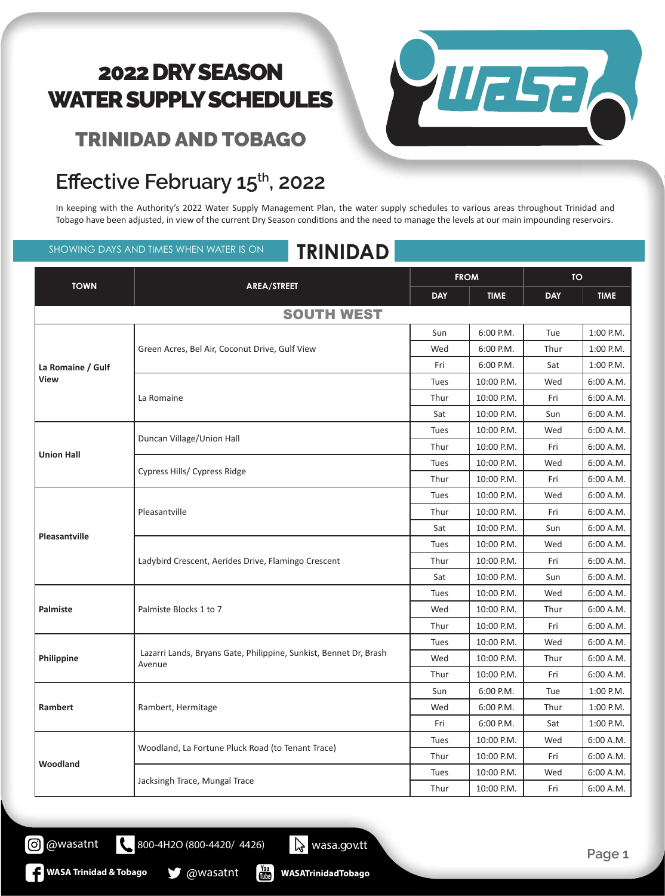#### TRINIDAD AND TOBAGO

#### Effective February 15<sup>th</sup>, 2022

In keeping with the Authority's 2022 Water Supply Management Plan, the water supply schedules to various areas throughout Trinidad and Tobago have been adjusted, in view of the current Dry Season conditions and the need to manage the levels at our main impounding reservoirs.

SHOWING DAYS AND TIMES WHEN WATER IS ON **TRINIDAD**

|                   |                                                                             | <b>FROM</b> |             | <b>TO</b>  |                                                               |
|-------------------|-----------------------------------------------------------------------------|-------------|-------------|------------|---------------------------------------------------------------|
| <b>TOWN</b>       | AREA/STREET                                                                 | <b>DAY</b>  | <b>TIME</b> | <b>DAY</b> | <b>TIME</b>                                                   |
|                   | <b>SOUTH WEST</b>                                                           |             |             |            |                                                               |
| La Romaine / Gulf |                                                                             | Sun         | 6:00 P.M.   | Tue        | 1:00 P.M.                                                     |
|                   | Green Acres, Bel Air, Coconut Drive, Gulf View                              | Wed         | 6:00 P.M.   | Thur       | 1:00 P.M.                                                     |
|                   |                                                                             | Fri         | 6:00 P.M.   | Sat        | 1:00 P.M.                                                     |
| <b>View</b>       | La Romaine                                                                  | Tues        | 10:00 P.M.  | Wed        | 6:00 A.M.                                                     |
|                   |                                                                             | Thur        | 10:00 P.M.  | Fri        | 6:00 A.M.                                                     |
|                   |                                                                             | Sat         | 10:00 P.M.  | Sun        | 6:00 A.M.                                                     |
|                   |                                                                             | Tues        | 10:00 P.M.  | Wed        | 6:00 A.M.                                                     |
|                   | Duncan Village/Union Hall                                                   | Thur        | 10:00 P.M.  | Fri        | 6:00 A.M.                                                     |
| <b>Union Hall</b> |                                                                             | Tues        | 10:00 P.M.  | Wed        | 6:00 A.M.                                                     |
|                   | Cypress Hills/ Cypress Ridge                                                | Thur        | 10:00 P.M.  | Fri        | 6:00 A.M.                                                     |
|                   | Pleasantville                                                               | Tues        | 10:00 P.M.  | Wed        | 6:00 A.M.                                                     |
|                   |                                                                             | Thur        | 10:00 P.M.  | Fri        | 6:00 A.M.                                                     |
| Pleasantville     |                                                                             | Sat         | 10:00 P.M.  | Sun        | 6:00 A.M.                                                     |
|                   | Ladybird Crescent, Aerides Drive, Flamingo Crescent                         | Tues        | 10:00 P.M.  | Wed        | 6:00 A.M.                                                     |
|                   |                                                                             | Thur        | 10:00 P.M.  | Fri        | 6:00 A.M.                                                     |
|                   |                                                                             | Sat         | 10:00 P.M.  | Sun        | 6:00 A.M.<br>6:00 A.M.<br>6:00 A.M.<br>6:00 A.M.<br>6:00 A.M. |
|                   |                                                                             | Tues        | 10:00 P.M.  | Wed        |                                                               |
| Palmiste          | Palmiste Blocks 1 to 7                                                      | Wed         | 10:00 P.M.  | Thur       |                                                               |
|                   |                                                                             | Thur        | 10:00 P.M.  | Fri        |                                                               |
|                   |                                                                             | Tues        | 10:00 P.M.  | Wed        |                                                               |
| Philippine        | Lazarri Lands, Bryans Gate, Philippine, Sunkist, Bennet Dr, Brash<br>Avenue | Wed         | 10:00 P.M.  | Thur       | 6:00 A.M.                                                     |
|                   |                                                                             | Thur        | 10:00 P.M.  | Fri        | 6:00 A.M.                                                     |
| Rambert           |                                                                             | Sun         | 6:00 P.M.   | Tue        | 1:00 P.M.                                                     |
|                   | Rambert, Hermitage                                                          | Wed         | 6:00 P.M.   | Thur       | 1:00 P.M.                                                     |
|                   |                                                                             | Fri         | 6:00 P.M.   | Sat        | 1:00 P.M.                                                     |
| Woodland          | Woodland, La Fortune Pluck Road (to Tenant Trace)                           | Tues        | 10:00 P.M.  | Wed        | 6:00 A.M.                                                     |
|                   |                                                                             | Thur        | 10:00 P.M.  | Fri        | 6:00 A.M.                                                     |
|                   | Jacksingh Trace, Mungal Trace                                               | Tues        | 10:00 P.M.  | Wed        | 6:00 A.M.                                                     |
|                   |                                                                             | Thur        | 10:00 P.M.  | Fri        | 6:00 A.M.                                                     |



**Page 1**

 $\frac{1}{2}$ **WASATrinidadTobago**

800-4H2O (800-4420/ 4426) wasa.gov.tt

**WASA Trinidad & Tobago & @wasatnt** 

@wasatnt

(ဝ)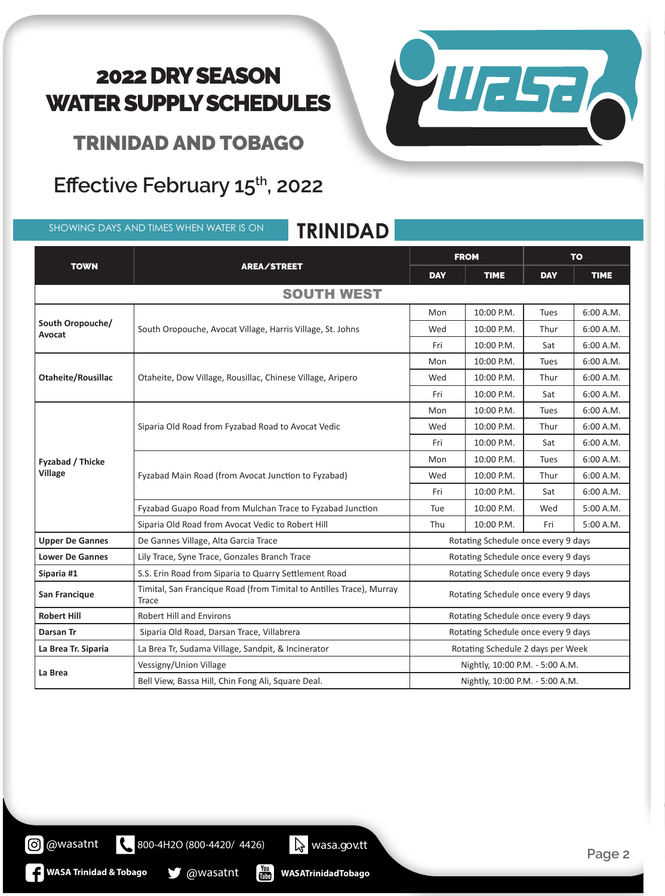VIIELTE

TRINIDAD AND TOBAGO

#### Effective February 15<sup>th</sup>, 2022

SHOWING DAYS AND TIMES WHEN WATER IS ON **TRINIDAD**

| <b>TOWN</b>                |                                                                                                                                                                              | <b>FROM</b>                         |                                 | <b>TO</b>                 |           |  |
|----------------------------|------------------------------------------------------------------------------------------------------------------------------------------------------------------------------|-------------------------------------|---------------------------------|---------------------------|-----------|--|
|                            | AREA/STREET                                                                                                                                                                  | <b>DAY</b>                          | <b>TIME</b>                     | <b>DAY</b><br><b>TIME</b> |           |  |
| <b>SOUTH WEST</b>          |                                                                                                                                                                              |                                     |                                 |                           |           |  |
| South Oropouche/<br>Avocat | South Oropouche, Avocat Village, Harris Village, St. Johns                                                                                                                   | Mon                                 | 10:00 P.M.                      | <b>Tues</b>               | 6:00 A.M. |  |
|                            |                                                                                                                                                                              | Wed                                 | 10:00 P.M.                      | Thur                      | 6:00 A.M. |  |
|                            |                                                                                                                                                                              | Fri                                 | 10:00 P.M.                      | Sat                       | 6:00 A.M. |  |
|                            | Mon<br>Otaheite, Dow Village, Rousillac, Chinese Village, Aripero<br>Wed<br>Fri                                                                                              |                                     | 10:00 P.M.                      | Tues                      | 6:00 A.M. |  |
| Otaheite/Rousillac         |                                                                                                                                                                              |                                     | 10:00 P.M.                      | Thur                      | 6:00 A.M. |  |
|                            |                                                                                                                                                                              | 10:00 P.M.                          | Sat                             | 6:00 A.M.                 |           |  |
|                            | 10:00 P.M.<br><b>Tues</b><br>Mon<br>Siparia Old Road from Fyzabad Road to Avocat Vedic<br>10:00 P.M.<br>Wed<br>Thur<br>10:00 P.M.<br>Fri<br>Sat<br>10:00 P.M.<br>Tues<br>Mon |                                     |                                 |                           | 6:00 A.M. |  |
|                            |                                                                                                                                                                              | 6:00 A.M.                           |                                 |                           |           |  |
|                            |                                                                                                                                                                              | 6:00 A.M.                           |                                 |                           |           |  |
| Fyzabad / Thicke           | Fyzabad Main Road (from Avocat Junction to Fyzabad)                                                                                                                          |                                     |                                 |                           | 6:00 A.M. |  |
| <b>Village</b>             |                                                                                                                                                                              | Wed                                 | 10:00 P.M.                      | Thur                      | 6:00 A.M. |  |
|                            |                                                                                                                                                                              | Fri                                 | 10:00 P.M.                      | Sat                       | 6:00 A.M. |  |
|                            | Fyzabad Guapo Road from Mulchan Trace to Fyzabad Junction                                                                                                                    | Tue                                 | 10:00 P.M.                      | Wed                       | 5:00 A.M. |  |
|                            | Siparia Old Road from Avocat Vedic to Robert Hill                                                                                                                            | Thu                                 | 10:00 P.M.                      | Fri                       | 5:00 A.M. |  |
| <b>Upper De Gannes</b>     | De Gannes Village, Alta Garcia Trace                                                                                                                                         | Rotating Schedule once every 9 days |                                 |                           |           |  |
| <b>Lower De Gannes</b>     | Lily Trace, Syne Trace, Gonzales Branch Trace                                                                                                                                | Rotating Schedule once every 9 days |                                 |                           |           |  |
| Siparia #1                 | S.S. Erin Road from Siparia to Quarry Settlement Road                                                                                                                        | Rotating Schedule once every 9 days |                                 |                           |           |  |
| San Francique              | Timital, San Francique Road (from Timital to Antilles Trace), Murray<br>Trace                                                                                                | Rotating Schedule once every 9 days |                                 |                           |           |  |
| <b>Robert Hill</b>         | <b>Robert Hill and Environs</b>                                                                                                                                              | Rotating Schedule once every 9 days |                                 |                           |           |  |
| Darsan Tr                  | Siparia Old Road, Darsan Trace, Villabrera                                                                                                                                   | Rotating Schedule once every 9 days |                                 |                           |           |  |
| La Brea Tr. Siparia        | La Brea Tr, Sudama Village, Sandpit, & Incinerator                                                                                                                           | Rotating Schedule 2 days per Week   |                                 |                           |           |  |
|                            | Vessigny/Union Village                                                                                                                                                       |                                     | Nightly, 10:00 P.M. - 5:00 A.M. |                           |           |  |
| La Brea                    | Bell View, Bassa Hill, Chin Fong Ali, Square Deal.                                                                                                                           |                                     | Nightly, 10:00 P.M. - 5:00 A.M. |                           |           |  |

**WASATrinidadTobago**

800-4H2O (800-4420/ 4426) wasa.gov.tt

 $\frac{\gamma_{\text{ou}}}{\text{int}}$ 

**WASA Trinidad & Tobago @wasatnt** 

@wasatnt

**Page 2**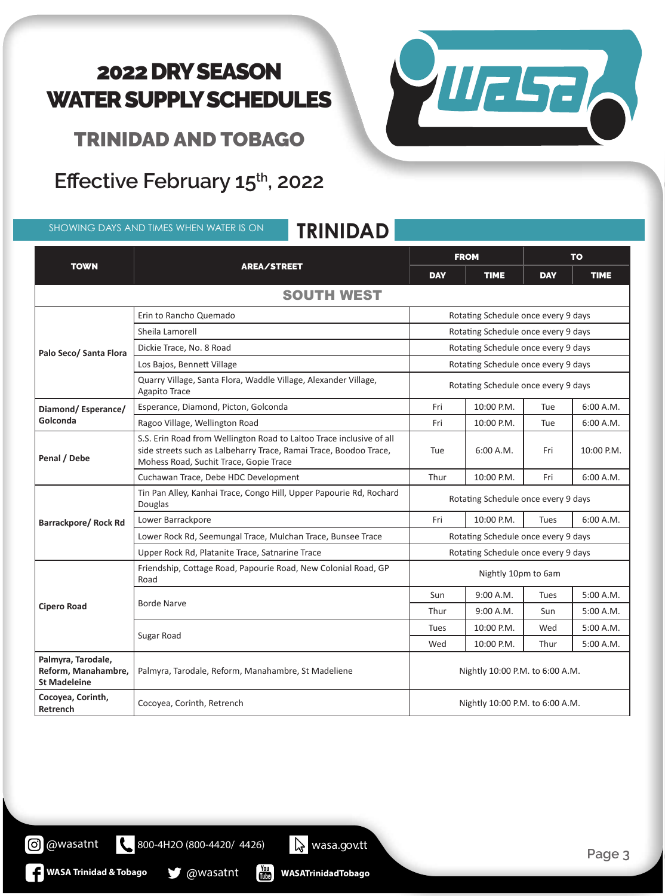TRINIDAD AND TOBAGO

# Effective February 15<sup>th</sup>, 2022

SHOWING DAYS AND TIMES WHEN WATER IS ON **TRINIDAD**



| <b>TOWN</b>                                                      |                                                                                                                                                                                     | <b>FROM</b>                             |             | <b>TO</b>                           |            |  |  |
|------------------------------------------------------------------|-------------------------------------------------------------------------------------------------------------------------------------------------------------------------------------|-----------------------------------------|-------------|-------------------------------------|------------|--|--|
|                                                                  | AREA/STREET                                                                                                                                                                         | <b>DAY</b><br><b>TIME</b><br><b>DAY</b> | <b>TIME</b> |                                     |            |  |  |
| <b>SOUTH WEST</b>                                                |                                                                                                                                                                                     |                                         |             |                                     |            |  |  |
|                                                                  | Erin to Rancho Quemado                                                                                                                                                              |                                         |             | Rotating Schedule once every 9 days |            |  |  |
|                                                                  | Sheila Lamorell                                                                                                                                                                     | Rotating Schedule once every 9 days     |             |                                     |            |  |  |
| Palo Seco/ Santa Flora                                           | Dickie Trace, No. 8 Road                                                                                                                                                            | Rotating Schedule once every 9 days     |             |                                     |            |  |  |
|                                                                  | Los Bajos, Bennett Village                                                                                                                                                          | Rotating Schedule once every 9 days     |             |                                     |            |  |  |
|                                                                  | Quarry Village, Santa Flora, Waddle Village, Alexander Village,<br><b>Agapito Trace</b>                                                                                             | Rotating Schedule once every 9 days     |             |                                     |            |  |  |
| Diamond/Esperance/                                               | Esperance, Diamond, Picton, Golconda                                                                                                                                                | Fri                                     | 10:00 P.M.  | Tue                                 | 6:00 A.M.  |  |  |
| Golconda                                                         | Ragoo Village, Wellington Road                                                                                                                                                      | Fri                                     | 10:00 P.M.  | Tue                                 | 6:00 A.M.  |  |  |
| Penal / Debe                                                     | S.S. Erin Road from Wellington Road to Laltoo Trace inclusive of all<br>side streets such as Lalbeharry Trace, Ramai Trace, Boodoo Trace,<br>Mohess Road, Suchit Trace, Gopie Trace | Tue                                     | 6:00 A.M.   | Fri                                 | 10:00 P.M. |  |  |
|                                                                  | Cuchawan Trace, Debe HDC Development                                                                                                                                                | Thur                                    | 10:00 P.M.  | Fri                                 | 6:00 A.M.  |  |  |
|                                                                  | Tin Pan Alley, Kanhai Trace, Congo Hill, Upper Papourie Rd, Rochard<br>Douglas                                                                                                      | Rotating Schedule once every 9 days     |             |                                     |            |  |  |
| <b>Barrackpore/ Rock Rd</b>                                      | Lower Barrackpore                                                                                                                                                                   | Fri                                     | 10:00 P.M.  | <b>Tues</b>                         | 6:00 A.M.  |  |  |
|                                                                  | Lower Rock Rd, Seemungal Trace, Mulchan Trace, Bunsee Trace                                                                                                                         | Rotating Schedule once every 9 days     |             |                                     |            |  |  |
|                                                                  | Upper Rock Rd, Platanite Trace, Satnarine Trace                                                                                                                                     | Rotating Schedule once every 9 days     |             |                                     |            |  |  |
|                                                                  | Friendship, Cottage Road, Papourie Road, New Colonial Road, GP<br>Road                                                                                                              | Nightly 10pm to 6am                     |             |                                     |            |  |  |
|                                                                  |                                                                                                                                                                                     | Sun                                     | 9:00 A.M.   | <b>Tues</b>                         | 5:00 A.M.  |  |  |
| <b>Cipero Road</b>                                               | <b>Borde Narve</b>                                                                                                                                                                  | Thur                                    | 9:00 A.M.   | Sun                                 | 5:00 A.M.  |  |  |
|                                                                  |                                                                                                                                                                                     | Tues                                    | 10:00 P.M.  | Wed                                 | 5:00 A.M.  |  |  |
|                                                                  | Sugar Road                                                                                                                                                                          | Wed                                     | 10:00 P.M.  | Thur                                | 5:00 A.M.  |  |  |
| Palmyra, Tarodale,<br>Reform, Manahambre,<br><b>St Madeleine</b> | Palmyra, Tarodale, Reform, Manahambre, St Madeliene                                                                                                                                 | Nightly 10:00 P.M. to 6:00 A.M.         |             |                                     |            |  |  |
| Cocoyea, Corinth,<br>Retrench                                    | Cocoyea, Corinth, Retrench                                                                                                                                                          | Nightly 10:00 P.M. to 6:00 A.M.         |             |                                     |            |  |  |

**O** @wasatnt

**WASA Trinidad & Tobago @wasatnt** 

**WASATrinidadTobago** 800-4H2O (800-4420/ 4426) wasa.gov.tt

 $\begin{bmatrix} \gamma_{01} \\ \gamma_{11} \\ \gamma_{21} \end{bmatrix}$ 

**Page 3**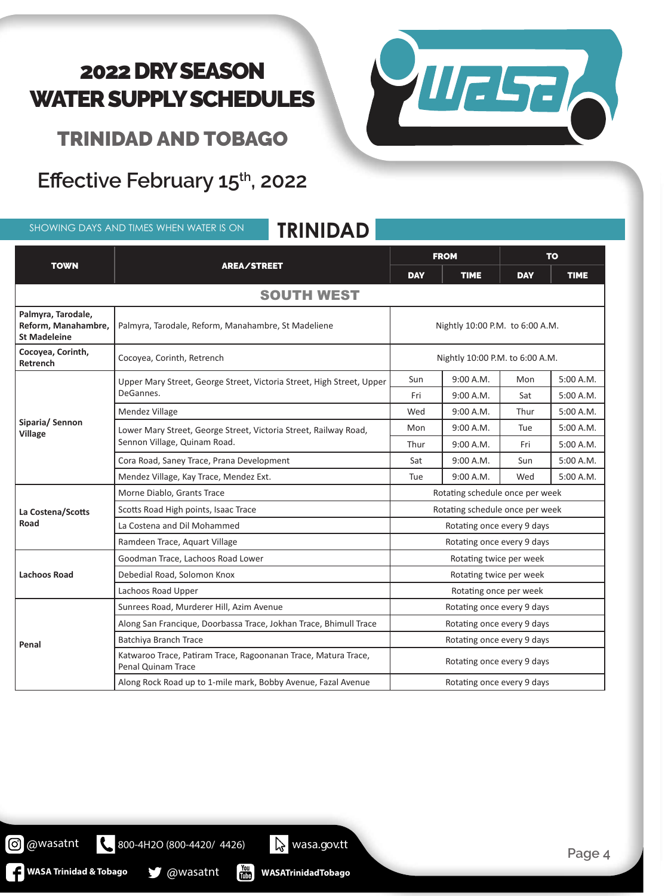**THELE** 

TRINIDAD AND TOBAGO

# Effective February 15<sup>th</sup>, 2022

SHOWING DAYS AND TIMES WHEN WATER IS ON **TRINIDAD**

| <b>TOWN</b>                                                      |                                                                                                  | <b>FROM</b>                     |             | <b>TO</b>  |             |  |  |
|------------------------------------------------------------------|--------------------------------------------------------------------------------------------------|---------------------------------|-------------|------------|-------------|--|--|
|                                                                  | AREA/STREET                                                                                      | <b>DAY</b>                      | <b>TIME</b> | <b>DAY</b> | <b>TIME</b> |  |  |
| <b>SOUTH WEST</b>                                                |                                                                                                  |                                 |             |            |             |  |  |
| Palmyra, Tarodale,<br>Reform, Manahambre,<br><b>St Madeleine</b> | Palmyra, Tarodale, Reform, Manahambre, St Madeliene                                              | Nightly 10:00 P.M. to 6:00 A.M. |             |            |             |  |  |
| Cocoyea, Corinth,<br>Retrench                                    | Cocoyea, Corinth, Retrench                                                                       | Nightly 10:00 P.M. to 6:00 A.M. |             |            |             |  |  |
|                                                                  | Upper Mary Street, George Street, Victoria Street, High Street, Upper<br>DeGannes.               | Sun                             | 9:00 A.M.   | Mon        | 5:00 A.M.   |  |  |
|                                                                  |                                                                                                  | Fri                             | 9:00 A.M.   | Sat        | 5:00 A.M.   |  |  |
|                                                                  | Mendez Village                                                                                   | Wed                             | 9:00 A.M.   | Thur       | 5:00 A.M.   |  |  |
| Siparia/Sennon<br><b>Village</b>                                 | Lower Mary Street, George Street, Victoria Street, Railway Road,<br>Sennon Village, Quinam Road. | Mon                             | 9:00 A.M.   | Tue        | 5:00 A.M.   |  |  |
|                                                                  |                                                                                                  | Thur                            | 9:00 A.M.   | Fri        | 5:00 A.M.   |  |  |
|                                                                  | Cora Road, Saney Trace, Prana Development                                                        | Sat                             | 9:00 A.M.   | Sun        | 5:00 A.M.   |  |  |
|                                                                  | Mendez Village, Kay Trace, Mendez Ext.                                                           | <b>Tue</b>                      | 9:00 A.M.   | Wed        | 5:00 A.M.   |  |  |
|                                                                  | Morne Diablo, Grants Trace                                                                       | Rotating schedule once per week |             |            |             |  |  |
| La Costena/Scotts                                                | Scotts Road High points, Isaac Trace                                                             | Rotating schedule once per week |             |            |             |  |  |
| Road                                                             | La Costena and Dil Mohammed                                                                      | Rotating once every 9 days      |             |            |             |  |  |
|                                                                  | Ramdeen Trace, Aquart Village                                                                    | Rotating once every 9 days      |             |            |             |  |  |
|                                                                  | Goodman Trace, Lachoos Road Lower                                                                | Rotating twice per week         |             |            |             |  |  |
| <b>Lachoos Road</b>                                              | Debedial Road, Solomon Knox                                                                      | Rotating twice per week         |             |            |             |  |  |
|                                                                  | Lachoos Road Upper                                                                               | Rotating once per week          |             |            |             |  |  |
| Penal                                                            | Sunrees Road, Murderer Hill, Azim Avenue                                                         | Rotating once every 9 days      |             |            |             |  |  |
|                                                                  | Along San Francique, Doorbassa Trace, Jokhan Trace, Bhimull Trace                                | Rotating once every 9 days      |             |            |             |  |  |
|                                                                  | Batchiya Branch Trace                                                                            | Rotating once every 9 days      |             |            |             |  |  |
|                                                                  | Katwaroo Trace, Patiram Trace, Ragoonanan Trace, Matura Trace,<br><b>Penal Quinam Trace</b>      | Rotating once every 9 days      |             |            |             |  |  |
|                                                                  | Along Rock Road up to 1-mile mark, Bobby Avenue, Fazal Avenue                                    | Rotating once every 9 days      |             |            |             |  |  |

**@** @wasatnt

**WASA Trinidad & Tobago @wasatnt** 

800-4H2O (800-4420/ 4426) Wasa.gov.tt

**WASATrinidadTobago**

 $\frac{You}{thtte}$ 

**Page 4**